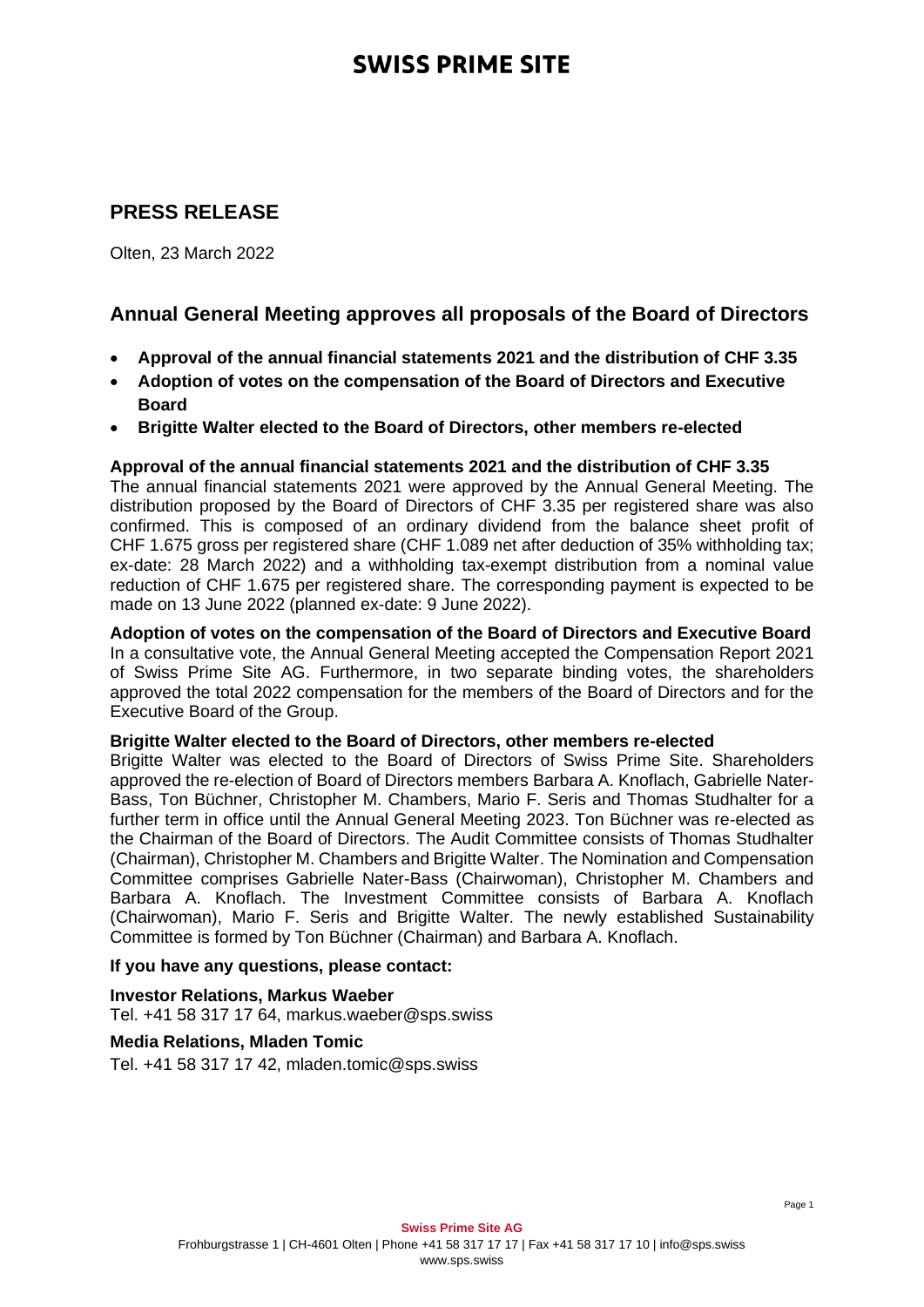# **SWISS PRIME SITE**

## **PRESS RELEASE**

Olten, 23 March 2022

## **Annual General Meeting approves all proposals of the Board of Directors**

- **Approval of the annual financial statements 2021 and the distribution of CHF 3.35**
- **Adoption of votes on the compensation of the Board of Directors and Executive Board**
- **Brigitte Walter elected to the Board of Directors, other members re-elected**

### **Approval of the annual financial statements 2021 and the distribution of CHF 3.35**

The annual financial statements 2021 were approved by the Annual General Meeting. The distribution proposed by the Board of Directors of CHF 3.35 per registered share was also confirmed. This is composed of an ordinary dividend from the balance sheet profit of CHF 1.675 gross per registered share (CHF 1.089 net after deduction of 35% withholding tax; ex-date: 28 March 2022) and a withholding tax-exempt distribution from a nominal value reduction of CHF 1.675 per registered share. The corresponding payment is expected to be made on 13 June 2022 (planned ex-date: 9 June 2022).

**Adoption of votes on the compensation of the Board of Directors and Executive Board** In a consultative vote, the Annual General Meeting accepted the Compensation Report 2021 of Swiss Prime Site AG. Furthermore, in two separate binding votes, the shareholders approved the total 2022 compensation for the members of the Board of Directors and for the Executive Board of the Group.

#### **Brigitte Walter elected to the Board of Directors, other members re-elected**

Brigitte Walter was elected to the Board of Directors of Swiss Prime Site. Shareholders approved the re-election of Board of Directors members Barbara A. Knoflach, Gabrielle Nater-Bass, Ton Büchner, Christopher M. Chambers, Mario F. Seris and Thomas Studhalter for a further term in office until the Annual General Meeting 2023. Ton Büchner was re-elected as the Chairman of the Board of Directors. The Audit Committee consists of Thomas Studhalter (Chairman), Christopher M. Chambers and Brigitte Walter. The Nomination and Compensation Committee comprises Gabrielle Nater-Bass (Chairwoman), Christopher M. Chambers and Barbara A. Knoflach. The Investment Committee consists of Barbara A. Knoflach (Chairwoman), Mario F. Seris and Brigitte Walter. The newly established Sustainability Committee is formed by Ton Büchner (Chairman) and Barbara A. Knoflach.

### **If you have any questions, please contact:**

**Investor Relations, Markus Waeber** Tel. +41 58 317 17 64, markus.waeber@sps.swiss

#### **Media Relations, Mladen Tomic**

Tel. +41 58 317 17 42, mladen.tomic@sps.swiss